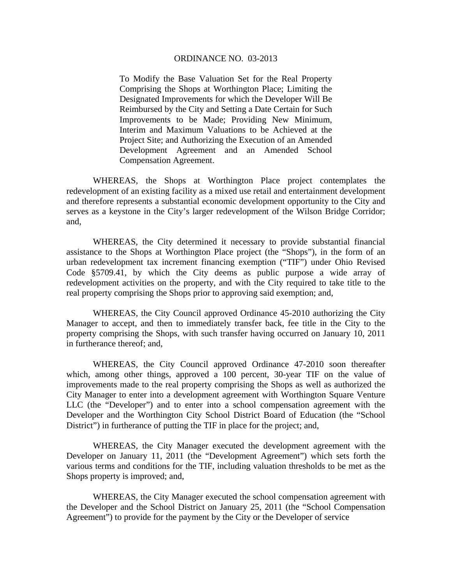#### ORDINANCE NO. 03-2013

To Modify the Base Valuation Set for the Real Property Comprising the Shops at Worthington Place; Limiting the Designated Improvements for which the Developer Will Be Reimbursed by the City and Setting a Date Certain for Such Improvements to be Made; Providing New Minimum, Interim and Maximum Valuations to be Achieved at the Project Site; and Authorizing the Execution of an Amended Development Agreement and an Amended School Compensation Agreement.

WHEREAS, the Shops at Worthington Place project contemplates the redevelopment of an existing facility as a mixed use retail and entertainment development and therefore represents a substantial economic development opportunity to the City and serves as a keystone in the City's larger redevelopment of the Wilson Bridge Corridor; and,

WHEREAS, the City determined it necessary to provide substantial financial assistance to the Shops at Worthington Place project (the "Shops"), in the form of an urban redevelopment tax increment financing exemption ("TIF") under Ohio Revised Code §5709.41, by which the City deems as public purpose a wide array of redevelopment activities on the property, and with the City required to take title to the real property comprising the Shops prior to approving said exemption; and,

WHEREAS, the City Council approved Ordinance 45-2010 authorizing the City Manager to accept, and then to immediately transfer back, fee title in the City to the property comprising the Shops, with such transfer having occurred on January 10, 2011 in furtherance thereof; and,

WHEREAS, the City Council approved Ordinance 47-2010 soon thereafter which, among other things, approved a 100 percent, 30-year TIF on the value of improvements made to the real property comprising the Shops as well as authorized the City Manager to enter into a development agreement with Worthington Square Venture LLC (the "Developer") and to enter into a school compensation agreement with the Developer and the Worthington City School District Board of Education (the "School District") in furtherance of putting the TIF in place for the project; and,

WHEREAS, the City Manager executed the development agreement with the Developer on January 11, 2011 (the "Development Agreement") which sets forth the various terms and conditions for the TIF, including valuation thresholds to be met as the Shops property is improved; and,

WHEREAS, the City Manager executed the school compensation agreement with the Developer and the School District on January 25, 2011 (the "School Compensation Agreement") to provide for the payment by the City or the Developer of service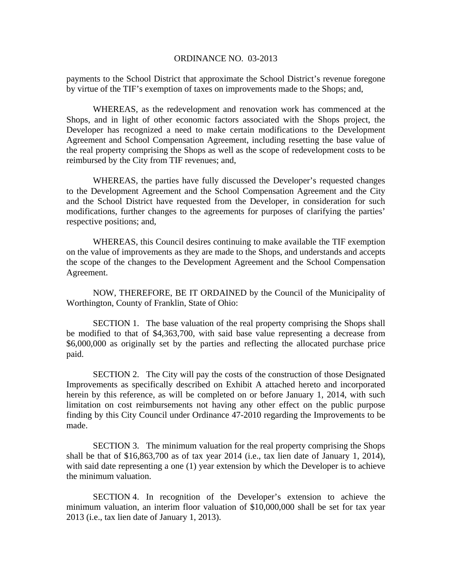#### ORDINANCE NO. 03-2013

payments to the School District that approximate the School District's revenue foregone by virtue of the TIF's exemption of taxes on improvements made to the Shops; and,

WHEREAS, as the redevelopment and renovation work has commenced at the Shops, and in light of other economic factors associated with the Shops project, the Developer has recognized a need to make certain modifications to the Development Agreement and School Compensation Agreement, including resetting the base value of the real property comprising the Shops as well as the scope of redevelopment costs to be reimbursed by the City from TIF revenues; and,

WHEREAS, the parties have fully discussed the Developer's requested changes to the Development Agreement and the School Compensation Agreement and the City and the School District have requested from the Developer, in consideration for such modifications, further changes to the agreements for purposes of clarifying the parties' respective positions; and,

WHEREAS, this Council desires continuing to make available the TIF exemption on the value of improvements as they are made to the Shops, and understands and accepts the scope of the changes to the Development Agreement and the School Compensation Agreement.

NOW, THEREFORE, BE IT ORDAINED by the Council of the Municipality of Worthington, County of Franklin, State of Ohio:

SECTION 1. The base valuation of the real property comprising the Shops shall be modified to that of \$4,363,700, with said base value representing a decrease from \$6,000,000 as originally set by the parties and reflecting the allocated purchase price paid.

SECTION 2. The City will pay the costs of the construction of those Designated Improvements as specifically described on Exhibit A attached hereto and incorporated herein by this reference, as will be completed on or before January 1, 2014, with such limitation on cost reimbursements not having any other effect on the public purpose finding by this City Council under Ordinance 47-2010 regarding the Improvements to be made.

SECTION 3. The minimum valuation for the real property comprising the Shops shall be that of \$16,863,700 as of tax year 2014 (i.e., tax lien date of January 1, 2014), with said date representing a one (1) year extension by which the Developer is to achieve the minimum valuation.

SECTION 4. In recognition of the Developer's extension to achieve the minimum valuation, an interim floor valuation of \$10,000,000 shall be set for tax year 2013 (i.e., tax lien date of January 1, 2013).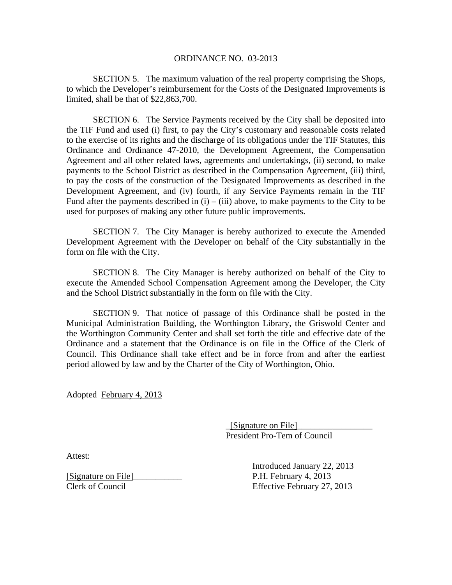SECTION 5. The maximum valuation of the real property comprising the Shops, to which the Developer's reimbursement for the Costs of the Designated Improvements is limited, shall be that of \$22,863,700.

 SECTION 6. The Service Payments received by the City shall be deposited into the TIF Fund and used (i) first, to pay the City's customary and reasonable costs related to the exercise of its rights and the discharge of its obligations under the TIF Statutes, this Ordinance and Ordinance 47-2010, the Development Agreement, the Compensation Agreement and all other related laws, agreements and undertakings, (ii) second, to make payments to the School District as described in the Compensation Agreement, (iii) third, to pay the costs of the construction of the Designated Improvements as described in the Development Agreement, and (iv) fourth, if any Service Payments remain in the TIF Fund after the payments described in  $(i) - (iii)$  above, to make payments to the City to be used for purposes of making any other future public improvements.

SECTION 7. The City Manager is hereby authorized to execute the Amended Development Agreement with the Developer on behalf of the City substantially in the form on file with the City.

SECTION 8. The City Manager is hereby authorized on behalf of the City to execute the Amended School Compensation Agreement among the Developer, the City and the School District substantially in the form on file with the City.

SECTION 9. That notice of passage of this Ordinance shall be posted in the Municipal Administration Building, the Worthington Library, the Griswold Center and the Worthington Community Center and shall set forth the title and effective date of the Ordinance and a statement that the Ordinance is on file in the Office of the Clerk of Council. This Ordinance shall take effect and be in force from and after the earliest period allowed by law and by the Charter of the City of Worthington, Ohio.

Adopted February 4, 2013

 $\Box$  [Signature on File] President Pro-Tem of Council

Attest:

[Signature on File]\_\_\_\_\_\_\_\_\_\_\_ P.H. February 4, 2013 Clerk of Council Effective February 27, 2013

Introduced January 22, 2013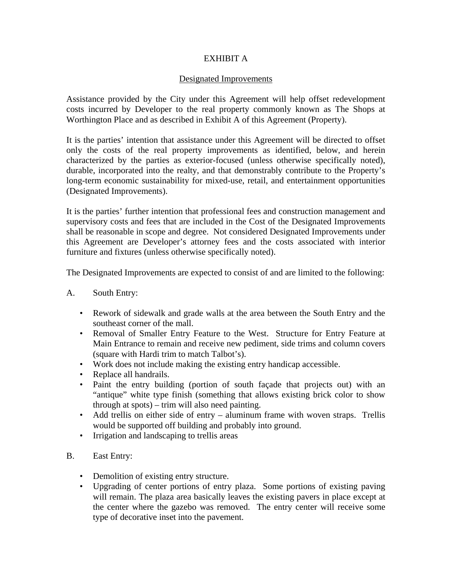# EXHIBIT A

## Designated Improvements

Assistance provided by the City under this Agreement will help offset redevelopment costs incurred by Developer to the real property commonly known as The Shops at Worthington Place and as described in Exhibit A of this Agreement (Property).

It is the parties' intention that assistance under this Agreement will be directed to offset only the costs of the real property improvements as identified, below, and herein characterized by the parties as exterior-focused (unless otherwise specifically noted), durable, incorporated into the realty, and that demonstrably contribute to the Property's long-term economic sustainability for mixed-use, retail, and entertainment opportunities (Designated Improvements).

It is the parties' further intention that professional fees and construction management and supervisory costs and fees that are included in the Cost of the Designated Improvements shall be reasonable in scope and degree. Not considered Designated Improvements under this Agreement are Developer's attorney fees and the costs associated with interior furniture and fixtures (unless otherwise specifically noted).

The Designated Improvements are expected to consist of and are limited to the following:

## A. South Entry:

- Rework of sidewalk and grade walls at the area between the South Entry and the southeast corner of the mall.
- Removal of Smaller Entry Feature to the West. Structure for Entry Feature at Main Entrance to remain and receive new pediment, side trims and column covers (square with Hardi trim to match Talbot's).
- Work does not include making the existing entry handicap accessible.
- Replace all handrails.
- Paint the entry building (portion of south façade that projects out) with an "antique" white type finish (something that allows existing brick color to show through at spots) – trim will also need painting.
- Add trellis on either side of entry aluminum frame with woven straps. Trellis would be supported off building and probably into ground.
- Irrigation and landscaping to trellis areas

### B. East Entry:

- Demolition of existing entry structure.
- Upgrading of center portions of entry plaza. Some portions of existing paving will remain. The plaza area basically leaves the existing pavers in place except at the center where the gazebo was removed. The entry center will receive some type of decorative inset into the pavement.